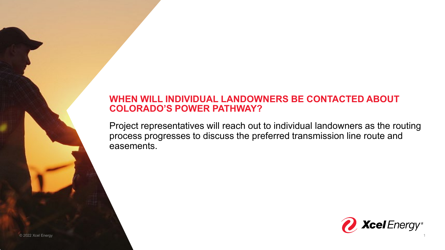#### **WHEN WILL INDIVIDUAL LANDOWNERS BE CONTACTED ABOUT COLORADO'S POWER PATHWAY?**

Project representatives will reach out to individual landowners as the routing process progresses to discuss the preferred transmission line route and easements.

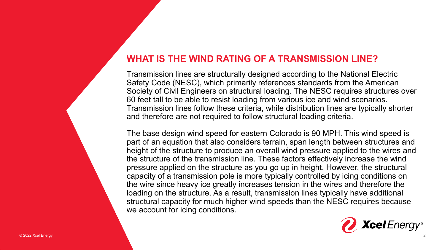### **WHAT IS THE WIND RATING OF A TRANSMISSION LINE?**

Transmission lines are structurally designed according to the National Electric Safety Code (NESC), which primarily references standards from the American Society of Civil Engineers on structural loading. The NESC requires structures over 60 feet tall to be able to resist loading from various ice and wind scenarios. Transmission lines follow these criteria, while distribution lines are typically shorter and therefore are not required to follow structural loading criteria.

The base design wind speed for eastern Colorado is 90 MPH. This wind speed is part of an equation that also considers terrain, span length between structures and height of the structure to produce an overall wind pressure applied to the wires and the structure of the transmission line. These factors effectively increase the wind pressure applied on the structure as you go up in height. However, the structural capacity of a transmission pole is more typically controlled by icing conditions on the wire since heavy ice greatly increases tension in the wires and therefore the loading on the structure. As a result, transmission lines typically have additional structural capacity for much higher wind speeds than the NESC requires because we account for icing conditions.

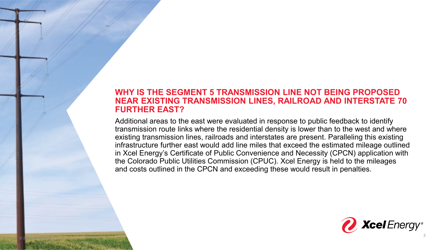#### **WHY IS THE SEGMENT 5 TRANSMISSION LINE NOT BEING PROPOSED NEAR EXISTING TRANSMISSION LINES, RAILROAD AND INTERSTATE 70 FURTHER EAST?**

Additional areas to the east were evaluated in response to public feedback to identify transmission route links where the residential density is lower than to the west and where existing transmission lines, railroads and interstates are present. Paralleling this existing infrastructure further east would add line miles that exceed the estimated mileage outlined in Xcel Energy's Certificate of Public Convenience and Necessity (CPCN) application with the Colorado Public Utilities Commission (CPUC). Xcel Energy is held to the mileages and costs outlined in the CPCN and exceeding these would result in penalties.

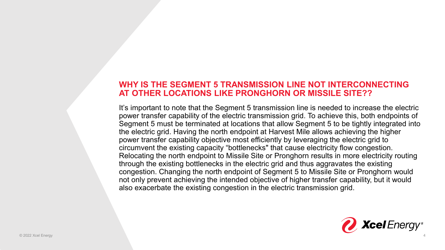#### **WHY IS THE SEGMENT 5 TRANSMISSION LINE NOT INTERCONNECTING AT OTHER LOCATIONS LIKE PRONGHORN OR MISSILE SITE??**

It's important to note that the Segment 5 transmission line is needed to increase the electric power transfer capability of the electric transmission grid. To achieve this, both endpoints of Segment 5 must be terminated at locations that allow Segment 5 to be tightly integrated into the electric grid. Having the north endpoint at Harvest Mile allows achieving the higher power transfer capability objective most efficiently by leveraging the electric grid to circumvent the existing capacity "bottlenecks" that cause electricity flow congestion. Relocating the north endpoint to Missile Site or Pronghorn results in more electricity routing through the existing bottlenecks in the electric grid and thus aggravates the existing congestion. Changing the north endpoint of Segment 5 to Missile Site or Pronghorn would not only prevent achieving the intended objective of higher transfer capability, but it would also exacerbate the existing congestion in the electric transmission grid.

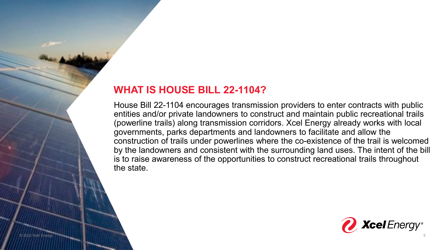#### **WHAT IS HOUSE BILL 22-1104?**

House Bill 22-1104 encourages transmission providers to enter contracts with public entities and/or private landowners to construct and maintain public recreational trails (powerline trails) along transmission corridors. Xcel Energy already works with local governments, parks departments and landowners to facilitate and allow the construction of trails under powerlines where the co-existence of the trail is welcomed by the landowners and consistent with the surrounding land uses. The intent of the bill is to raise awareness of the opportunities to construct recreational trails throughout the state.

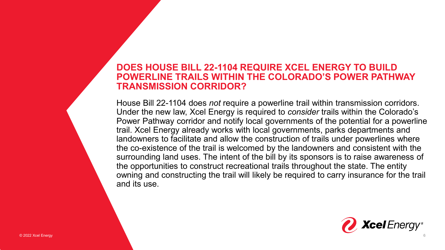#### **DOES HOUSE BILL 22-1104 REQUIRE XCEL ENERGY TO BUILD POWERLINE TRAILS WITHIN THE COLORADO'S POWER PATHWAY TRANSMISSION CORRIDOR?**

House Bill 22-1104 does *not* require a powerline trail within transmission corridors. Under the new law, Xcel Energy is required to *consider* trails within the Colorado's Power Pathway corridor and notify local governments of the potential for a powerline trail. Xcel Energy already works with local governments, parks departments and landowners to facilitate and allow the construction of trails under powerlines where the co-existence of the trail is welcomed by the landowners and consistent with the surrounding land uses. The intent of the bill by its sponsors is to raise awareness of the opportunities to construct recreational trails throughout the state. The entity owning and constructing the trail will likely be required to carry insurance for the trail and its use.

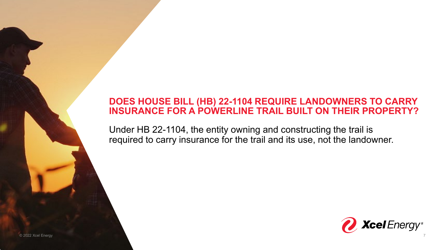### **DOES HOUSE BILL (HB) 22-1104 REQUIRE LANDOWNERS TO CARRY INSURANCE FOR A POWERLINE TRAIL BUILT ON THEIR PROPERTY?**

Under HB 22-1104, the entity owning and constructing the trail is required to carry insurance for the trail and its use, not the landowner.



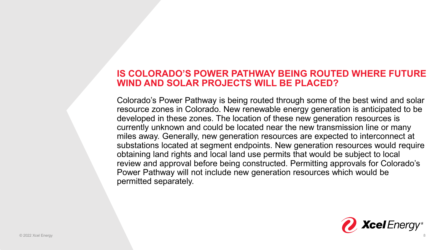#### **IS COLORADO'S POWER PATHWAY BEING ROUTED WHERE FUTURE WIND AND SOLAR PROJECTS WILL BE PLACED?**

Colorado's Power Pathway is being routed through some of the best wind and solar resource zones in Colorado. New renewable energy generation is anticipated to be developed in these zones. The location of these new generation resources is currently unknown and could be located near the new transmission line or many miles away. Generally, new generation resources are expected to interconnect at substations located at segment endpoints. New generation resources would require obtaining land rights and local land use permits that would be subject to local review and approval before being constructed. Permitting approvals for Colorado's Power Pathway will not include new generation resources which would be permitted separately.

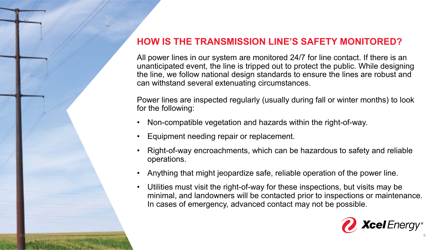# **HOW IS THE TRANSMISSION LINE'S SAFETY MONITORED?**

All power lines in our system are monitored 24/7 for line contact. If there is an unanticipated event, the line is tripped out to protect the public. While designing the line, we follow national design standards to ensure the lines are robust and can withstand several extenuating circumstances.

Power lines are inspected regularly (usually during fall or winter months) to look for the following:

- Non-compatible vegetation and hazards within the right-of-way.
- Equipment needing repair or replacement.
- Right-of-way encroachments, which can be hazardous to safety and reliable operations.
- Anything that might jeopardize safe, reliable operation of the power line.
- Utilities must visit the right-of-way for these inspections, but visits may be minimal, and landowners will be contacted prior to inspections or maintenance. In cases of emergency, advanced contact may not be possible.

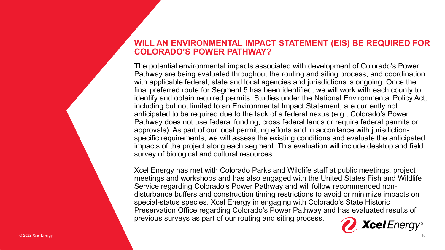#### **WILL AN ENVIRONMENTAL IMPACT STATEMENT (EIS) BE REQUIRED FOR COLORADO'S POWER PATHWAY?**

The potential environmental impacts associated with development of Colorado's Power Pathway are being evaluated throughout the routing and siting process, and coordination with applicable federal, state and local agencies and jurisdictions is ongoing. Once the final preferred route for Segment 5 has been identified, we will work with each county to identify and obtain required permits. Studies under the National Environmental Policy Act, including but not limited to an Environmental Impact Statement, are currently not anticipated to be required due to the lack of a federal nexus (e.g., Colorado's Power Pathway does not use federal funding, cross federal lands or require federal permits or approvals). As part of our local permitting efforts and in accordance with jurisdictionspecific requirements, we will assess the existing conditions and evaluate the anticipated impacts of the project along each segment. This evaluation will include desktop and field survey of biological and cultural resources.

Xcel Energy has met with Colorado Parks and Wildlife staff at public meetings, project meetings and workshops and has also engaged with the United States Fish and Wildlife Service regarding Colorado's Power Pathway and will follow recommended nondisturbance buffers and construction timing restrictions to avoid or minimize impacts on special-status species. Xcel Energy in engaging with Colorado's State Historic Preservation Office regarding Colorado's Power Pathway and has evaluated results of previous surveys as part of our routing and siting process.

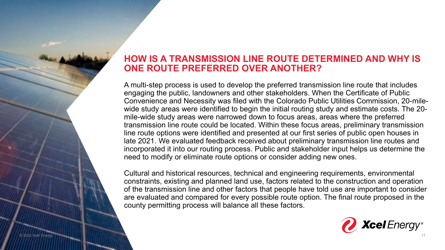#### **HOW IS A TRANSMISSION LINE ROUTE DETERMINED AND WHY IS ONE ROUTE PREFERRED OVER ANOTHER?**

A multi-step process is used to develop the preferred transmission line route that includes engaging the public, landowners and other stakeholders. When the Certificate of Public Convenience and Necessity was filed with the Colorado Public Utilities Commission, 20-milewide study areas were identified to begin the initial routing study and estimate costs. The 20 mile-wide study areas were narrowed down to focus areas, areas where the preferred transmission line route could be located. Within these focus areas, preliminary transmission line route options were identified and presented at our first series of public open houses in late 2021. We evaluated feedback received about preliminary transmission line routes and incorporated it into our routing process. Public and stakeholder input helps us determine the need to modify or eliminate route options or consider adding new ones.

Cultural and historical resources, technical and engineering requirements, environmental constraints, existing and planned land use, factors related to the construction and operation of the transmission line and other factors that people have told use are important to consider are evaluated and compared for every possible route option. The final route proposed in the county permitting process will balance all these factors.

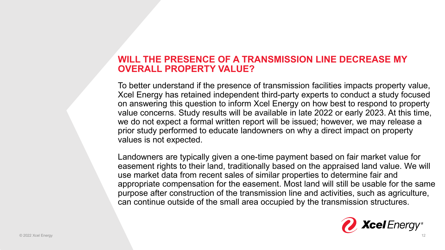#### **WILL THE PRESENCE OF A TRANSMISSION LINE DECREASE MY OVERALL PROPERTY VALUE?**

To better understand if the presence of transmission facilities impacts property value, Xcel Energy has retained independent third-party experts to conduct a study focused on answering this question to inform Xcel Energy on how best to respond to property value concerns. Study results will be available in late 2022 or early 2023. At this time, we do not expect a formal written report will be issued; however, we may release a prior study performed to educate landowners on why a direct impact on property values is not expected.

Landowners are typically given a one-time payment based on fair market value for easement rights to their land, traditionally based on the appraised land value. We will use market data from recent sales of similar properties to determine fair and appropriate compensation for the easement. Most land will still be usable for the same purpose after construction of the transmission line and activities, such as agriculture, can continue outside of the small area occupied by the transmission structures.

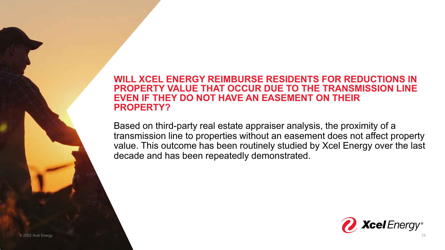#### **WILL XCEL ENERGY REIMBURSE RESIDENTS FOR REDUCTIONS IN PROPERTY VALUE THAT OCCUR DUE TO THE TRANSMISSION LINE EVEN IF THEY DO NOT HAVE AN EASEMENT ON THEIR PROPERTY?**

Based on third-party real estate appraiser analysis, the proximity of a transmission line to properties without an easement does not affect property value. This outcome has been routinely studied by Xcel Energy over the last decade and has been repeatedly demonstrated.

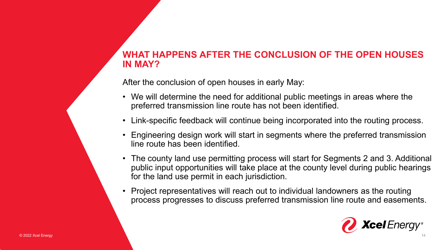### **WHAT HAPPENS AFTER THE CONCLUSION OF THE OPEN HOUSES IN MAY?**

After the conclusion of open houses in early May:

- We will determine the need for additional public meetings in areas where the preferred transmission line route has not been identified.
- Link-specific feedback will continue being incorporated into the routing process.
- Engineering design work will start in segments where the preferred transmission line route has been identified.
- The county land use permitting process will start for Segments 2 and 3. Additional public input opportunities will take place at the county level during public hearings for the land use permit in each jurisdiction.
- Project representatives will reach out to individual landowners as the routing process progresses to discuss preferred transmission line route and easements.

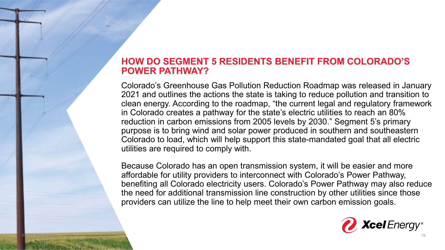### **HOW DO SEGMENT 5 RESIDENTS BENEFIT FROM COLORADO'S POWER PATHWAY?**

Colorado's Greenhouse Gas Pollution Reduction Roadmap was released in January 2021 and outlines the actions the state is taking to reduce pollution and transition to clean energy. According to the roadmap, "the current legal and regulatory framework in Colorado creates a pathway for the state's electric utilities to reach an 80% reduction in carbon emissions from 2005 levels by 2030." Segment 5's primary purpose is to bring wind and solar power produced in southern and southeastern Colorado to load, which will help support this state-mandated goal that all electric utilities are required to comply with.

Because Colorado has an open transmission system, it will be easier and more affordable for utility providers to interconnect with Colorado's Power Pathway, benefiting all Colorado electricity users. Colorado's Power Pathway may also reduce the need for additional transmission line construction by other utilities since those providers can utilize the line to help meet their own carbon emission goals.

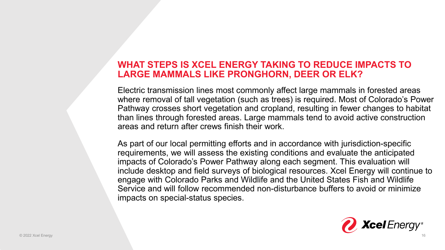#### **WHAT STEPS IS XCEL ENERGY TAKING TO REDUCE IMPACTS TO LARGE MAMMALS LIKE PRONGHORN, DEER OR ELK?**

Electric transmission lines most commonly affect large mammals in forested areas where removal of tall vegetation (such as trees) is required. Most of Colorado's Power Pathway crosses short vegetation and cropland, resulting in fewer changes to habitat than lines through forested areas. Large mammals tend to avoid active construction areas and return after crews finish their work.

As part of our local permitting efforts and in accordance with jurisdiction-specific requirements, we will assess the existing conditions and evaluate the anticipated impacts of Colorado's Power Pathway along each segment. This evaluation will include desktop and field surveys of biological resources. Xcel Energy will continue to engage with Colorado Parks and Wildlife and the United States Fish and Wildlife Service and will follow recommended non-disturbance buffers to avoid or minimize impacts on special-status species.

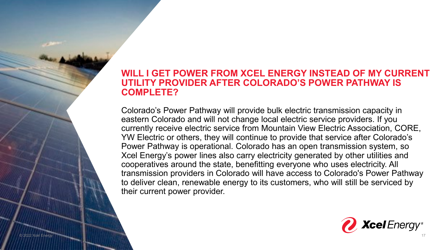#### **WILL I GET POWER FROM XCEL ENERGY INSTEAD OF MY CURRENT UTILITY PROVIDER AFTER COLORADO'S POWER PATHWAY IS COMPLETE?**

Colorado's Power Pathway will provide bulk electric transmission capacity in eastern Colorado and will not change local electric service providers. If you currently receive electric service from Mountain View Electric Association, CORE, YW Electric or others, they will continue to provide that service after Colorado's Power Pathway is operational. Colorado has an open transmission system, so Xcel Energy's power lines also carry electricity generated by other utilities and cooperatives around the state, benefitting everyone who uses electricity. All transmission providers in Colorado will have access to Colorado's Power Pathway to deliver clean, renewable energy to its customers, who will still be serviced by their current power provider.

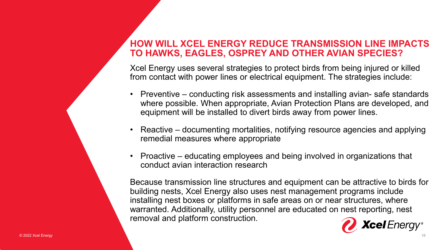#### **HOW WILL XCEL ENERGY REDUCE TRANSMISSION LINE IMPACTS TO HAWKS, EAGLES, OSPREY AND OTHER AVIAN SPECIES?**

Xcel Energy uses several strategies to protect birds from being injured or killed from contact with power lines or electrical equipment. The strategies include:

- Preventive conducting risk assessments and installing avian- safe standards where possible. When appropriate, Avian Protection Plans are developed, and equipment will be installed to divert birds away from power lines.
- Reactive documenting mortalities, notifying resource agencies and applying remedial measures where appropriate
- Proactive educating employees and being involved in organizations that conduct avian interaction research

Because transmission line structures and equipment can be attractive to birds for building nests, Xcel Energy also uses nest management programs include installing nest boxes or platforms in safe areas on or near structures, where warranted. Additionally, utility personnel are educated on nest reporting, nest removal and platform construction.

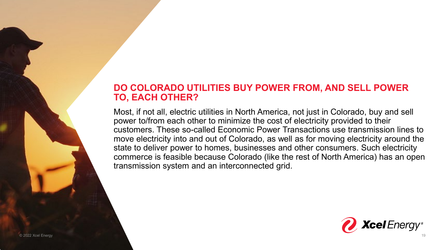### **DO COLORADO UTILITIES BUY POWER FROM, AND SELL POWER TO, EACH OTHER?**

Most, if not all, electric utilities in North America, not just in Colorado, buy and sell power to/from each other to minimize the cost of electricity provided to their customers. These so-called Economic Power Transactions use transmission lines to move electricity into and out of Colorado, as well as for moving electricity around the state to deliver power to homes, businesses and other consumers. Such electricity commerce is feasible because Colorado (like the rest of North America) has an open transmission system and an interconnected grid.



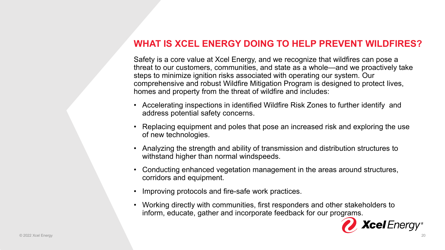### **WHAT IS XCEL ENERGY DOING TO HELP PREVENT WILDFIRES?**

Safety is a core value at Xcel Energy, and we recognize that wildfires can pose a threat to our customers, communities, and state as a whole—and we proactively take steps to minimize ignition risks associated with operating our system. Our comprehensive and robust Wildfire Mitigation Program is designed to protect lives, homes and property from the threat of wildfire and includes:

- Accelerating inspections in identified Wildfire Risk Zones to further identify and address potential safety concerns.
- Replacing equipment and poles that pose an increased risk and exploring the use of new technologies.
- Analyzing the strength and ability of transmission and distribution structures to withstand higher than normal windspeeds.
- Conducting enhanced vegetation management in the areas around structures, corridors and equipment.
- Improving protocols and fire-safe work practices.
- Working directly with communities, first responders and other stakeholders to inform, educate, gather and incorporate feedback for our programs.

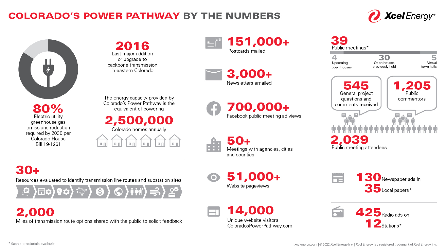# **COLORADO'S POWER PATHWAY BY THE NUMBERS**





required by 2030 per Colorado House Bill 19-1261

2016 Last major addition or upgrade to backbone transmission in eastern Colorado

The energy capacity provided by Colorado's Power Pathway is the equivalent of powering

# 2,500,000

Colorado homes annually



151,000+ Postcards mailed

3,000+ Newsletters emailed

700,000+ Facebook public meeting ad views

> Meetings with agencies, cities and counties

51,000+  $\bullet$ Website pageviews

> 14,000 Unique website visitors ColoradosPowerPathway.com

| Public meetings*                                                                                      |                                      |                               |
|-------------------------------------------------------------------------------------------------------|--------------------------------------|-------------------------------|
| Upcoming<br>open houses                                                                               | 30<br>Open houses<br>previously held | Virtual<br>town halls         |
| 545<br>General project<br>questions and<br>comments received<br>139<br>2,<br>Public meeting attendees |                                      | 1,205<br>Public<br>commentors |





 $30+$ 

Resources evaluated to identify transmission line routes and substation sites

2,000

Miles of transmission route options shared with the public to solicit feedback